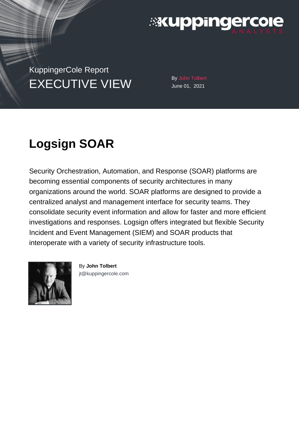

KuppingerCole Report EXECUTIVE VIEW By John Tolbert

June 01, 2021

# **Logsign SOAR**

Security Orchestration, Automation, and Response (SOAR) platforms are becoming essential components of security architectures in many organizations around the world. SOAR platforms are designed to provide a centralized analyst and management interface for security teams. They consolidate security event information and allow for faster and more efficient investigations and responses. Logsign offers integrated but flexible Security Incident and Event Management (SIEM) and SOAR products that interoperate with a variety of security infrastructure tools.



By **John Tolbert** [jt@kuppingercole.com](mailto:jt@kuppingercole.com)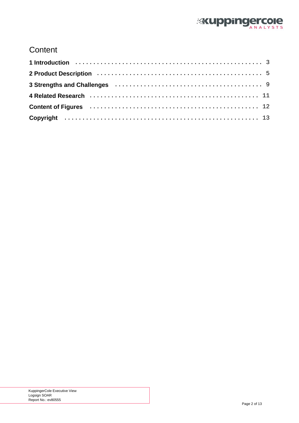

### **Content**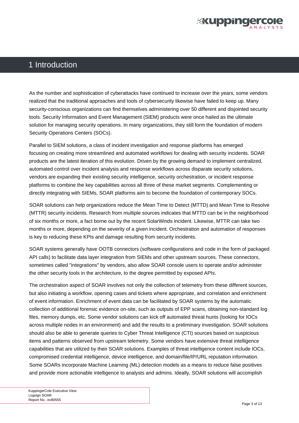

### <span id="page-2-0"></span>1 Introduction

As the number and sophistication of cyberattacks have continued to increase over the years, some vendors realized that the traditional approaches and tools of cybersecurity likewise have failed to keep up. Many security-conscious organizations can find themselves administering over 50 different and disjointed security tools. Security Information and Event Management (SIEM) products were once hailed as the ultimate solution for managing security operations. In many organizations, they still form the foundation of modern Security Operations Centers (SOCs).

Parallel to SIEM solutions, a class of incident investigation and response platforms has emerged focusing on creating more streamlined and automated workflows for dealing with security incidents. SOAR products are the latest iteration of this evolution. Driven by the growing demand to implement centralized, automated control over incident analysis and response workflows across disparate security solutions, vendors are expanding their existing security intelligence, security orchestration, or incident response platforms to combine the key capabilities across all three of these market segments. Complementing or directly integrating with SIEMs, SOAR platforms aim to become the foundation of contemporary SOCs.

SOAR solutions can help organizations reduce the Mean Time to Detect (MTTD) and Mean Time to Resolve (MTTR) security incidents. Research from multiple sources indicates that MTTD can be in the neighborhood of six months or more, a fact borne out by the recent SolarWinds incident. Likewise, MTTR can take two months or more, depending on the severity of a given incident. Orchestration and automation of responses is key to reducing these KPIs and damage resulting from security incidents.

SOAR systems generally have OOTB connectors (software configurations and code in the form of packaged API calls) to facilitate data layer integration from SIEMs and other upstream sources. These connectors, sometimes called "integrations" by vendors, also allow SOAR console users to operate and/or administer the other security tools in the architecture, to the degree permitted by exposed APIs.

The orchestration aspect of SOAR involves not only the collection of telemetry from these different sources, but also initiating a workflow, opening cases and tickets where appropriate, and correlation and enrichment of event information. Enrichment of event data can be facilitated by SOAR systems by the automatic collection of additional forensic evidence on-site, such as outputs of EPP scans, obtaining non-standard log files, memory dumps, etc. Some vendor solutions can kick off automated threat hunts (looking for IOCs across multiple nodes in an environment) and add the results to a preliminary investigation. SOAR solutions should also be able to generate queries to Cyber Threat Intelligence (CTI) sources based on suspicious items and patterns observed from upstream telemetry. Some vendors have extensive threat intelligence capabilities that are utilized by their SOAR solutions. Examples of threat intelligence content include IOCs, compromised credential intelligence, device intelligence, and domain/file/IP/URL reputation information. Some SOARs incorporate Machine Learning (ML) detection models as a means to reduce false positives and provide more actionable intelligence to analysts and admins. Ideally, SOAR solutions will accomplish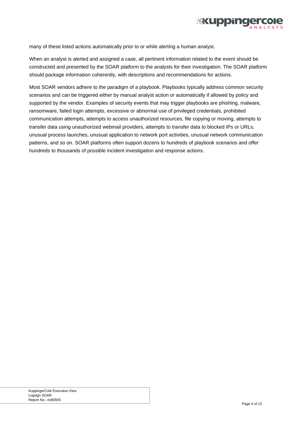

many of these listed actions automatically prior to or while alerting a human analyst.

When an analyst is alerted and assigned a case, all pertinent information related to the event should be constructed and presented by the SOAR platform to the analysts for their investigation. The SOAR platform should package information coherently, with descriptions and recommendations for actions.

Most SOAR vendors adhere to the paradigm of a playbook. Playbooks typically address common security scenarios and can be triggered either by manual analyst action or automatically if allowed by policy and supported by the vendor. Examples of security events that may trigger playbooks are phishing, malware, ransomware, failed login attempts, excessive or abnormal use of privileged credentials, prohibited communication attempts, attempts to access unauthorized resources, file copying or moving, attempts to transfer data using unauthorized webmail providers, attempts to transfer data to blocked IPs or URLs, unusual process launches, unusual application to network port activities, unusual network communication patterns, and so on. SOAR platforms often support dozens to hundreds of playbook scenarios and offer hundreds to thousands of possible incident investigation and response actions.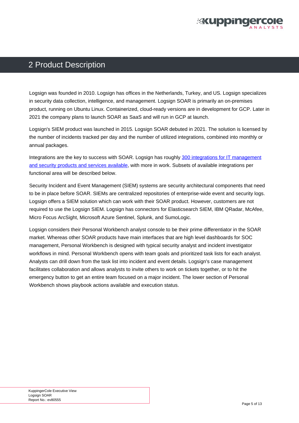

### <span id="page-4-0"></span>2 Product Description

Logsign was founded in 2010. Logsign has offices in the Netherlands, Turkey, and US. Logsign specializes in security data collection, intelligence, and management. Logsign SOAR is primarily an on-premises product, running on Ubuntu Linux. Containerized, cloud-ready versions are in development for GCP. Later in 2021 the company plans to launch SOAR as SaaS and will run in GCP at launch.

Logsign's SIEM product was launched in 2015. Logsign SOAR debuted in 2021. The solution is licensed by the number of incidents tracked per day and the number of utilized integrations, combined into monthly or annual packages.

Integrations are the key to success with SOAR. Logsign has roughly [300 integrations for IT management](https://www.logsign.com/integrations/) [and security products and services available](https://www.logsign.com/integrations/), with more in work. Subsets of available integrations per functional area will be described below.

Security Incident and Event Management (SIEM) systems are security architectural components that need to be in place before SOAR. SIEMs are centralized repositories of enterprise-wide event and security logs. Logsign offers a SIEM solution which can work with their SOAR product. However, customers are not required to use the Logsign SIEM. Logsign has connectors for Elasticsearch SIEM, IBM QRadar, McAfee, Micro Focus ArcSight, Microsoft Azure Sentinel, Splunk, and SumoLogic.

Logsign considers their Personal Workbench analyst console to be their prime differentiator in the SOAR market. Whereas other SOAR products have main interfaces that are high level dashboards for SOC management, Personal Workbench is designed with typical security analyst and incident investigator workflows in mind. Personal Workbench opens with team goals and prioritized task lists for each analyst. Analysts can drill down from the task list into incident and event details. Logsign's case management facilitates collaboration and allows analysts to invite others to work on tickets together, or to hit the emergency button to get an entire team focused on a major incident. The lower section of Personal Workbench shows playbook actions available and execution status.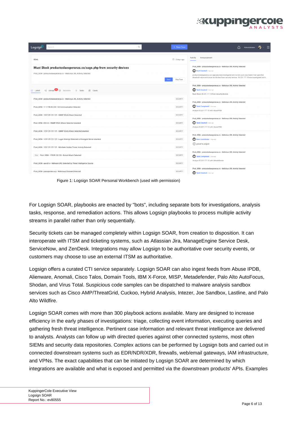

<span id="page-5-0"></span>

| Q<br>Search<br>Logsign                                                                                                                     | + New Case                         | $\equiv$<br>Administrator                                                                                                                                                                                                                                                                            |
|--------------------------------------------------------------------------------------------------------------------------------------------|------------------------------------|------------------------------------------------------------------------------------------------------------------------------------------------------------------------------------------------------------------------------------------------------------------------------------------------------|
| <b>GOAL</b>                                                                                                                                | 白 2 days ago                       | Announcement<br>Activity                                                                                                                                                                                                                                                                             |
| Must Block productoslaesperanza.co/cage.php from security devices<br>Prod_SIEM - productoslaesperanza.co - Malicious URL Activity Detected | Skip Task<br>Start                 | Prod_SIEM - productoslaesperanza.co - Malicious URL Activity Detected<br>Post Created 2 days ago<br>productoslaesperanza.co/cage.php was investigated and its risk score was higher than specified<br>threshold value and it must be blocked from security devices. 35.221. Was investigated and it. |
| $\Box$ Unread $\overline{79}$ (D) Decisions $\equiv$ Tasks<br><b>C</b> Latest<br><b>四</b> Cases                                            |                                    | Prod_SIEM - productoslaesperanza.co - Malicious URL Activity Detected<br>Task Created 2 days ago<br>Must Block 35.221. from security devices                                                                                                                                                         |
| Prod_SIEM - productoslaesperanza.co - Malicious URL Activity Detected<br>Prod_SIEM - 111.198. IIII 398 - C2 Communication Detected         | <b>SECURITY</b><br><b>SECURITY</b> | Prod_SIEM - productoslaesperanza.co - Malicious URL Activity Detected<br>Task Completed 2 days ago                                                                                                                                                                                                   |
| Prod_SIEM - 129.129. WIE - SNMP DDoS Attack Detected                                                                                       | <b>SECURITY</b>                    | Analyze 35.221.1 With AbuselPDB<br>Prod_SIEM - productoslaesperanza.co - Malicious URL Activity Detected                                                                                                                                                                                             |
| Prod_SIEM - 8.8 8 - SNMP DDoS Attack Detected okantest                                                                                     | <b>SECURITY</b>                    | Task Created 2 days ago<br>Analyze 35.221. with AbuselPDB                                                                                                                                                                                                                                            |
| Prod_SIEM - 129.129. I III - SNMP DDoS Attack Detected okantest                                                                            | SECURITY                           | Prod_SIEM - productoslaesperanza.co - Malicious URL Activity Detected                                                                                                                                                                                                                                |
| Prod_SIEM - 129.129.129 129 - Logon Attempt Detected to Honeypot Server okantest                                                           | SECURITY                           | New Contributor 2 degs ago<br>oined to project                                                                                                                                                                                                                                                       |
| Prod_SIEM - 129. 129. 129. 129 - Mimikatz Golden Ticket Activity Detected                                                                  | <b>SECURITY</b>                    | Prod_SIEM - productoslaesperanza.co - Malicious URL Activity Detected                                                                                                                                                                                                                                |
| Prior Prod_SIEM - 159.89. Button - Botnet Attack Detected<br>Prod_SIEM - aavizh.ir - Malware URL Detected by Threat Intelligence Source    | <b>SECURITY</b><br><b>SECURITY</b> | Task Completed 2 days ago<br>Analyze 35.221 177 18 with Metadefender                                                                                                                                                                                                                                 |
| Prod_SIEM - pracapolska.xyz - Malicious2 Domain Detected                                                                                   | <b>SECURITY</b>                    | Prod_SIEM - productoslaesperanza.co - Malicious URL Activity Detected<br>Task Created 2 days ago                                                                                                                                                                                                     |

Figure 1: Logsign SOAR Personal Workbench (used with permission)

For Logsign SOAR, playbooks are enacted by "bots", including separate bots for investigations, analysis tasks, response, and remediation actions. This allows Logsign playbooks to process multiple activity streams in parallel rather than only sequentially.

Security tickets can be managed completely within Logsign SOAR, from creation to disposition. It can interoperate with ITSM and ticketing systems, such as Atlassian Jira, ManageEngine Service Desk, ServiceNow, and ZenDesk. Integrations may allow Logsign to be authoritative over security events, or customers may choose to use an external ITSM as authoritative.

Logsign offers a curated CTI service separately. Logsign SOAR can also ingest feeds from Abuse IPDB, Alienware, Anomali, Cisco Talos, Domain Tools, IBM X-Force, MISP, Metadefender, Palo Alto AutoFocus, Shodan, and Virus Total. Suspicious code samples can be dispatched to malware analysis sandbox services such as Cisco AMP/ThreatGrid, Cuckoo, Hybrid Analysis, Intezer, Joe Sandbox, Lastline, and Palo Alto Wildfire.

Logsign SOAR comes with more than 300 playbook actions available. Many are designed to increase efficiency in the early phases of investigations: triage, collecting event information, executing queries and gathering fresh threat intelligence. Pertinent case information and relevant threat intelligence are delivered to analysts. Analysts can follow up with directed queries against other connected systems, most often SIEMs and security data repositories. Complex actions can be performed by Logsign bots and carried out in connected downstream systems such as EDR/NDR/XDR, firewalls, web/email gateways, IAM infrastructure, and VPNs. The exact capabilities that can be initiated by Logsign SOAR are determined by which integrations are available and what is exposed and permitted via the downstream products' APIs. Examples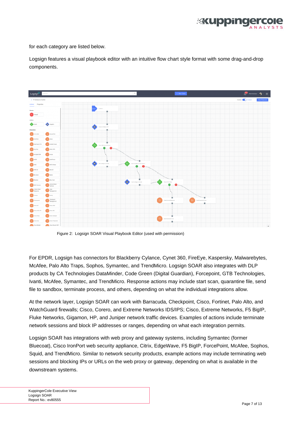

<span id="page-6-0"></span>for each category are listed below.

Logsign features a visual playbook editor with an intuitive flow chart style format with some drag-and-drop components.



Figure 2: Logsign SOAR Visual Playbook Editor (used with permission)

For EPDR, Logsign has connectors for Blackberry Cylance, Cynet 360, FireEye, Kaspersky, Malwarebytes, McAfee, Palo Alto Traps, Sophos, Symantec, and TrendMicro. Logsign SOAR also integrates with DLP products by CA Technologies DataMinder, Code Green (Digital Guardian), Forcepoint, GTB Technologies, Ivanti, McAfee, Symantec, and TrendMicro. Response actions may include start scan, quarantine file, send file to sandbox, terminate process, and others, depending on what the individual integrations allow.

At the network layer, Logsign SOAR can work with Barracuda, Checkpoint, Cisco, Fortinet, Palo Alto, and WatchGuard firewalls; Cisco, Corero, and Extreme Networks IDS/IPS; Cisco, Extreme Networks, F5 BigIP, Fluke Networks, Gigamon, HP, and Juniper network traffic devices. Examples of actions include terminate network sessions and block IP addresses or ranges, depending on what each integration permits.

Logsign SOAR has integrations with web proxy and gateway systems, including Symantec (former Bluecoat), Cisco IronPort web security appliance, Citrix, EdgeWave, F5 BigIP, ForcePoint, McAfee, Sophos, Squid, and TrendMicro. Similar to network security products, example actions may include terminating web sessions and blocking IPs or URLs on the web proxy or gateway, depending on what is available in the downstream systems.

KuppingerCole Executive View Logsign SOAR Report No.: ev80555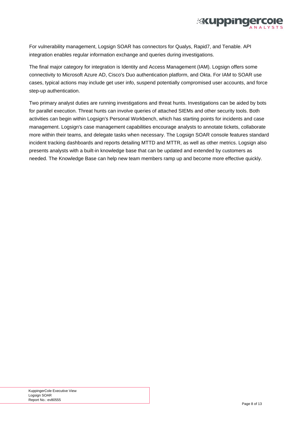

For vulnerability management, Logsign SOAR has connectors for Qualys, Rapid7, and Tenable. API integration enables regular information exchange and queries during investigations.

The final major category for integration is Identity and Access Management (IAM). Logsign offers some connectivity to Microsoft Azure AD, Cisco's Duo authentication platform, and Okta. For IAM to SOAR use cases, typical actions may include get user info, suspend potentially compromised user accounts, and force step-up authentication.

Two primary analyst duties are running investigations and threat hunts. Investigations can be aided by bots for parallel execution. Threat hunts can involve queries of attached SIEMs and other security tools. Both activities can begin within Logsign's Personal Workbench, which has starting points for incidents and case management. Logsign's case management capabilities encourage analysts to annotate tickets, collaborate more within their teams, and delegate tasks when necessary. The Logsign SOAR console features standard incident tracking dashboards and reports detailing MTTD and MTTR, as well as other metrics. Logsign also presents analysts with a built-in knowledge base that can be updated and extended by customers as needed. The Knowledge Base can help new team members ramp up and become more effective quickly.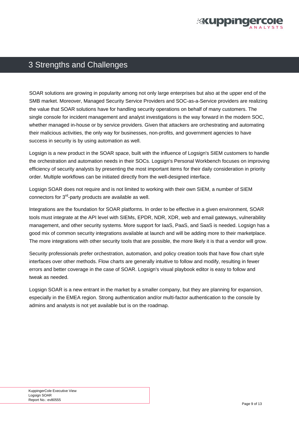

### <span id="page-8-0"></span>3 Strengths and Challenges

SOAR solutions are growing in popularity among not only large enterprises but also at the upper end of the SMB market. Moreover, Managed Security Service Providers and SOC-as-a-Service providers are realizing the value that SOAR solutions have for handling security operations on behalf of many customers. The single console for incident management and analyst investigations is the way forward in the modern SOC, whether managed in-house or by service providers. Given that attackers are orchestrating and automating their malicious activities, the only way for businesses, non-profits, and government agencies to have success in security is by using automation as well.

Logsign is a new product in the SOAR space, built with the influence of Logsign's SIEM customers to handle the orchestration and automation needs in their SOCs. Logsign's Personal Workbench focuses on improving efficiency of security analysts by presenting the most important items for their daily consideration in priority order. Multiple workflows can be initiated directly from the well-designed interface.

Logsign SOAR does not require and is not limited to working with their own SIEM, a number of SIEM connectors for 3rd-party products are available as well.

Integrations are the foundation for SOAR platforms. In order to be effective in a given environment, SOAR tools must integrate at the API level with SIEMs, EPDR, NDR, XDR, web and email gateways, vulnerability management, and other security systems. More support for IaaS, PaaS, and SaaS is needed. Logsign has a good mix of common security integrations available at launch and will be adding more to their marketplace. The more integrations with other security tools that are possible, the more likely it is that a vendor will grow.

Security professionals prefer orchestration, automation, and policy creation tools that have flow chart style interfaces over other methods. Flow charts are generally intuitive to follow and modify, resulting in fewer errors and better coverage in the case of SOAR. Logsign's visual playbook editor is easy to follow and tweak as needed.

Logsign SOAR is a new entrant in the market by a smaller company, but they are planning for expansion, especially in the EMEA region. Strong authentication and/or multi-factor authentication to the console by admins and analysts is not yet available but is on the roadmap.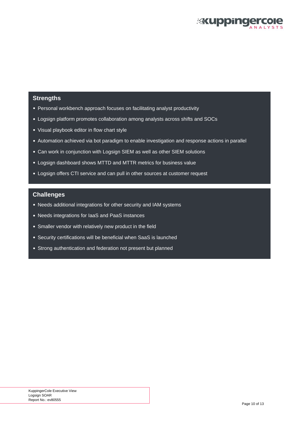

#### **Strengths**

- Personal workbench approach focuses on facilitating analyst productivity
- Logsign platform promotes collaboration among analysts across shifts and SOCs
- Visual playbook editor in flow chart style
- Automation achieved via bot paradigm to enable investigation and response actions in parallel
- Can work in conjunction with Logsign SIEM as well as other SIEM solutions
- Logsign dashboard shows MTTD and MTTR metrics for business value
- Logsign offers CTI service and can pull in other sources at customer request

#### **Challenges**

- Needs additional integrations for other security and IAM systems
- Needs integrations for IaaS and PaaS instances
- Smaller vendor with relatively new product in the field
- Security certifications will be beneficial when SaaS is launched
- Strong authentication and federation not present but planned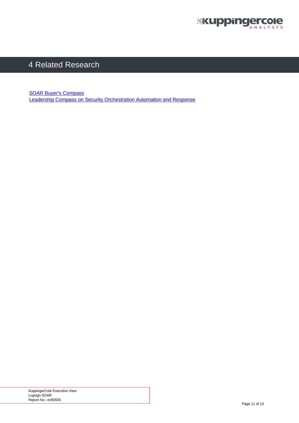

### <span id="page-10-0"></span>4 Related Research

[SOAR Buyer's Compass](https://plus.kuppingercole.com/article/bc80756/buyer-s-compass-soar/) [Leadership Compass on Security Orchestration Automation and Response](https://plus.kuppingercole.com/article/lc80016/security-orchestration-automation-and-response-soar/)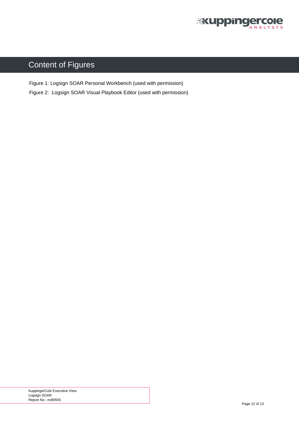

## <span id="page-11-0"></span>Content of Figures

[Figure 1: Logsign SOAR Personal Workbench \(used with permission\)](#page-5-0)

[Figure 2: Logsign SOAR Visual Playbook Editor \(used with permission\)](#page-6-0)